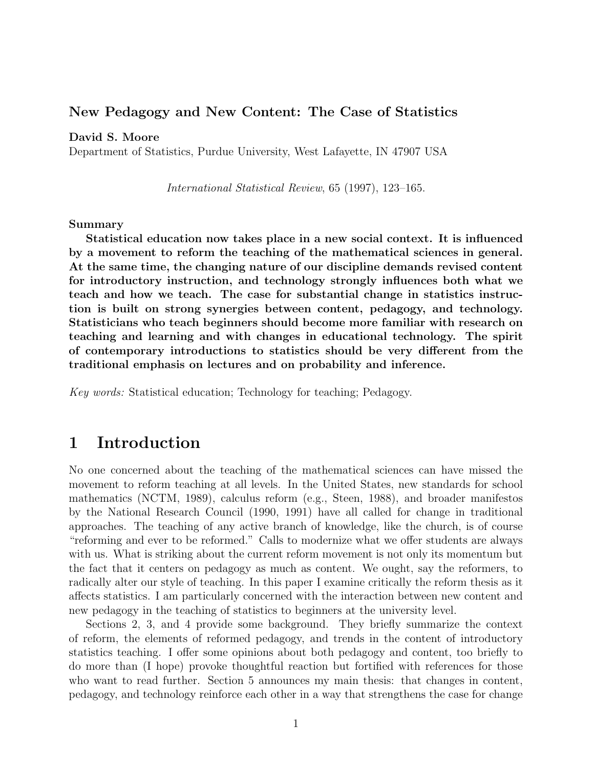## **New Pedagogy and New Content: The Case of Statistics**

#### **David S. Moore**

Department of Statistics, Purdue University, West Lafayette, IN 47907 USA

International Statistical Review, 65 (1997), 123–165.

#### **Summary**

**Statistical education now takes place in a new social context. It is influenced by a movement to reform the teaching of the mathematical sciences in general. At the same time, the changing nature of our discipline demands revised content for introductory instruction, and technology strongly influences both what we teach and how we teach. The case for substantial change in statistics instruction is built on strong synergies between content, pedagogy, and technology. Statisticians who teach beginners should become more familiar with research on teaching and learning and with changes in educational technology. The spirit of contemporary introductions to statistics should be very different from the traditional emphasis on lectures and on probability and inference.**

Key words: Statistical education; Technology for teaching; Pedagogy.

# **1 Introduction**

No one concerned about the teaching of the mathematical sciences can have missed the movement to reform teaching at all levels. In the United States, new standards for school mathematics (NCTM, 1989), calculus reform (e.g., Steen, 1988), and broader manifestos by the National Research Council (1990, 1991) have all called for change in traditional approaches. The teaching of any active branch of knowledge, like the church, is of course "reforming and ever to be reformed." Calls to modernize what we offer students are always with us. What is striking about the current reform movement is not only its momentum but the fact that it centers on pedagogy as much as content. We ought, say the reformers, to radically alter our style of teaching. In this paper I examine critically the reform thesis as it affects statistics. I am particularly concerned with the interaction between new content and new pedagogy in the teaching of statistics to beginners at the university level.

Sections 2, 3, and 4 provide some background. They briefly summarize the context of reform, the elements of reformed pedagogy, and trends in the content of introductory statistics teaching. I offer some opinions about both pedagogy and content, too briefly to do more than (I hope) provoke thoughtful reaction but fortified with references for those who want to read further. Section 5 announces my main thesis: that changes in content, pedagogy, and technology reinforce each other in a way that strengthens the case for change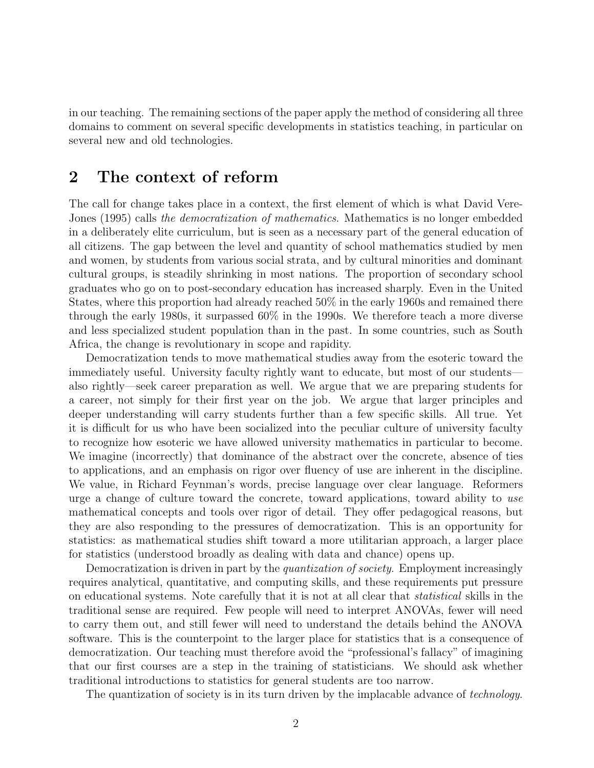in our teaching. The remaining sections of the paper apply the method of considering all three domains to comment on several specific developments in statistics teaching, in particular on several new and old technologies.

# **2 The context of reform**

The call for change takes place in a context, the first element of which is what David Vere-Jones (1995) calls the democratization of mathematics. Mathematics is no longer embedded in a deliberately elite curriculum, but is seen as a necessary part of the general education of all citizens. The gap between the level and quantity of school mathematics studied by men and women, by students from various social strata, and by cultural minorities and dominant cultural groups, is steadily shrinking in most nations. The proportion of secondary school graduates who go on to post-secondary education has increased sharply. Even in the United States, where this proportion had already reached 50% in the early 1960s and remained there through the early 1980s, it surpassed 60% in the 1990s. We therefore teach a more diverse and less specialized student population than in the past. In some countries, such as South Africa, the change is revolutionary in scope and rapidity.

Democratization tends to move mathematical studies away from the esoteric toward the immediately useful. University faculty rightly want to educate, but most of our students also rightly—seek career preparation as well. We argue that we are preparing students for a career, not simply for their first year on the job. We argue that larger principles and deeper understanding will carry students further than a few specific skills. All true. Yet it is difficult for us who have been socialized into the peculiar culture of university faculty to recognize how esoteric we have allowed university mathematics in particular to become. We imagine (incorrectly) that dominance of the abstract over the concrete, absence of ties to applications, and an emphasis on rigor over fluency of use are inherent in the discipline. We value, in Richard Feynman's words, precise language over clear language. Reformers urge a change of culture toward the concrete, toward applications, toward ability to use mathematical concepts and tools over rigor of detail. They offer pedagogical reasons, but they are also responding to the pressures of democratization. This is an opportunity for statistics: as mathematical studies shift toward a more utilitarian approach, a larger place for statistics (understood broadly as dealing with data and chance) opens up.

Democratization is driven in part by the *quantization of society*. Employment increasingly requires analytical, quantitative, and computing skills, and these requirements put pressure on educational systems. Note carefully that it is not at all clear that statistical skills in the traditional sense are required. Few people will need to interpret ANOVAs, fewer will need to carry them out, and still fewer will need to understand the details behind the ANOVA software. This is the counterpoint to the larger place for statistics that is a consequence of democratization. Our teaching must therefore avoid the "professional's fallacy" of imagining that our first courses are a step in the training of statisticians. We should ask whether traditional introductions to statistics for general students are too narrow.

The quantization of society is in its turn driven by the implacable advance of *technology*.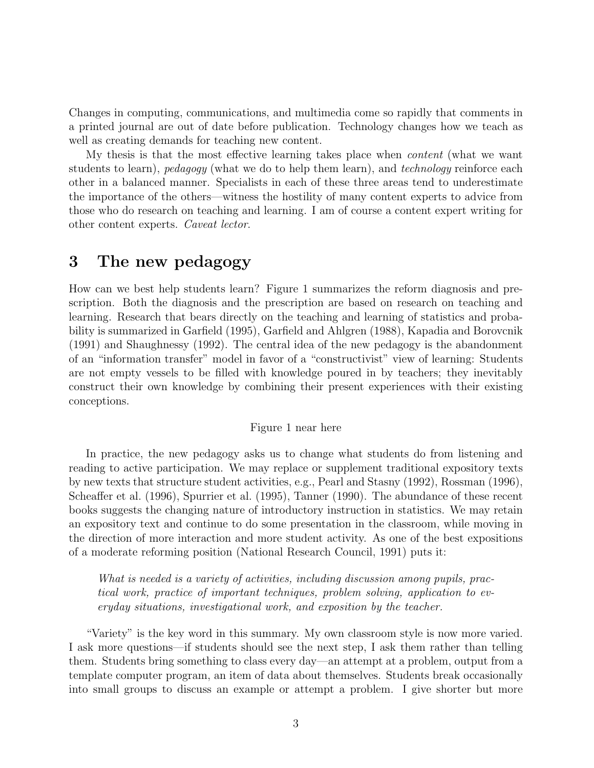Changes in computing, communications, and multimedia come so rapidly that comments in a printed journal are out of date before publication. Technology changes how we teach as well as creating demands for teaching new content.

My thesis is that the most effective learning takes place when content (what we want students to learn), pedagogy (what we do to help them learn), and technology reinforce each other in a balanced manner. Specialists in each of these three areas tend to underestimate the importance of the others—witness the hostility of many content experts to advice from those who do research on teaching and learning. I am of course a content expert writing for other content experts. Caveat lector.

# **3 The new pedagogy**

How can we best help students learn? Figure 1 summarizes the reform diagnosis and prescription. Both the diagnosis and the prescription are based on research on teaching and learning. Research that bears directly on the teaching and learning of statistics and probability is summarized in Garfield (1995), Garfield and Ahlgren (1988), Kapadia and Borovcnik (1991) and Shaughnessy (1992). The central idea of the new pedagogy is the abandonment of an "information transfer" model in favor of a "constructivist" view of learning: Students are not empty vessels to be filled with knowledge poured in by teachers; they inevitably construct their own knowledge by combining their present experiences with their existing conceptions.

#### Figure 1 near here

In practice, the new pedagogy asks us to change what students do from listening and reading to active participation. We may replace or supplement traditional expository texts by new texts that structure student activities, e.g., Pearl and Stasny (1992), Rossman (1996), Scheaffer et al. (1996), Spurrier et al. (1995), Tanner (1990). The abundance of these recent books suggests the changing nature of introductory instruction in statistics. We may retain an expository text and continue to do some presentation in the classroom, while moving in the direction of more interaction and more student activity. As one of the best expositions of a moderate reforming position (National Research Council, 1991) puts it:

What is needed is a variety of activities, including discussion among pupils, practical work, practice of important techniques, problem solving, application to everyday situations, investigational work, and exposition by the teacher.

"Variety" is the key word in this summary. My own classroom style is now more varied. I ask more questions—if students should see the next step, I ask them rather than telling them. Students bring something to class every day—an attempt at a problem, output from a template computer program, an item of data about themselves. Students break occasionally into small groups to discuss an example or attempt a problem. I give shorter but more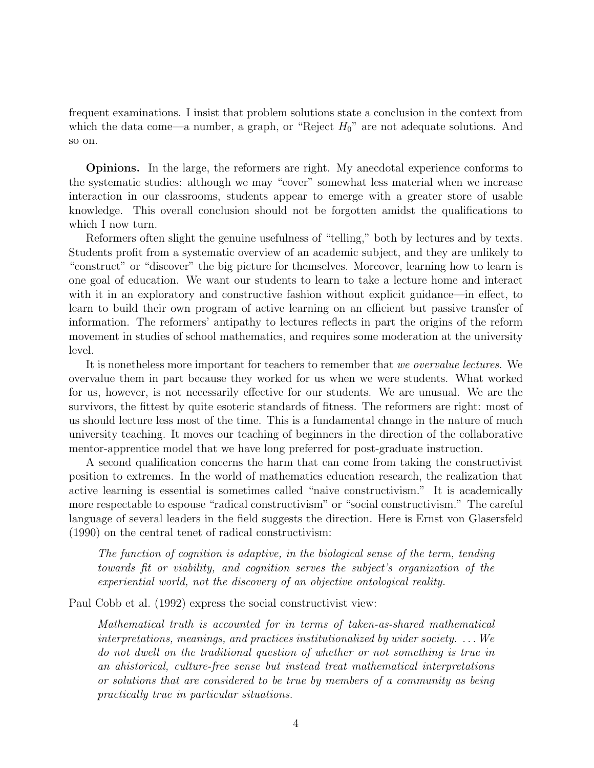frequent examinations. I insist that problem solutions state a conclusion in the context from which the data come—a number, a graph, or "Reject  $H_0$ " are not adequate solutions. And so on.

**Opinions.** In the large, the reformers are right. My anecdotal experience conforms to the systematic studies: although we may "cover" somewhat less material when we increase interaction in our classrooms, students appear to emerge with a greater store of usable knowledge. This overall conclusion should not be forgotten amidst the qualifications to which I now turn.

Reformers often slight the genuine usefulness of "telling," both by lectures and by texts. Students profit from a systematic overview of an academic subject, and they are unlikely to "construct" or "discover" the big picture for themselves. Moreover, learning how to learn is one goal of education. We want our students to learn to take a lecture home and interact with it in an exploratory and constructive fashion without explicit guidance—in effect, to learn to build their own program of active learning on an efficient but passive transfer of information. The reformers' antipathy to lectures reflects in part the origins of the reform movement in studies of school mathematics, and requires some moderation at the university level.

It is nonetheless more important for teachers to remember that we overvalue lectures. We overvalue them in part because they worked for us when we were students. What worked for us, however, is not necessarily effective for our students. We are unusual. We are the survivors, the fittest by quite esoteric standards of fitness. The reformers are right: most of us should lecture less most of the time. This is a fundamental change in the nature of much university teaching. It moves our teaching of beginners in the direction of the collaborative mentor-apprentice model that we have long preferred for post-graduate instruction.

A second qualification concerns the harm that can come from taking the constructivist position to extremes. In the world of mathematics education research, the realization that active learning is essential is sometimes called "naive constructivism." It is academically more respectable to espouse "radical constructivism" or "social constructivism." The careful language of several leaders in the field suggests the direction. Here is Ernst von Glasersfeld (1990) on the central tenet of radical constructivism:

The function of cognition is adaptive, in the biological sense of the term, tending towards fit or viability, and cognition serves the subject's organization of the experiential world, not the discovery of an objective ontological reality.

Paul Cobb et al. (1992) express the social constructivist view:

Mathematical truth is accounted for in terms of taken-as-shared mathematical interpretations, meanings, and practices institutionalized by wider society.  $\dots$  We do not dwell on the traditional question of whether or not something is true in an ahistorical, culture-free sense but instead treat mathematical interpretations or solutions that are considered to be true by members of a community as being practically true in particular situations.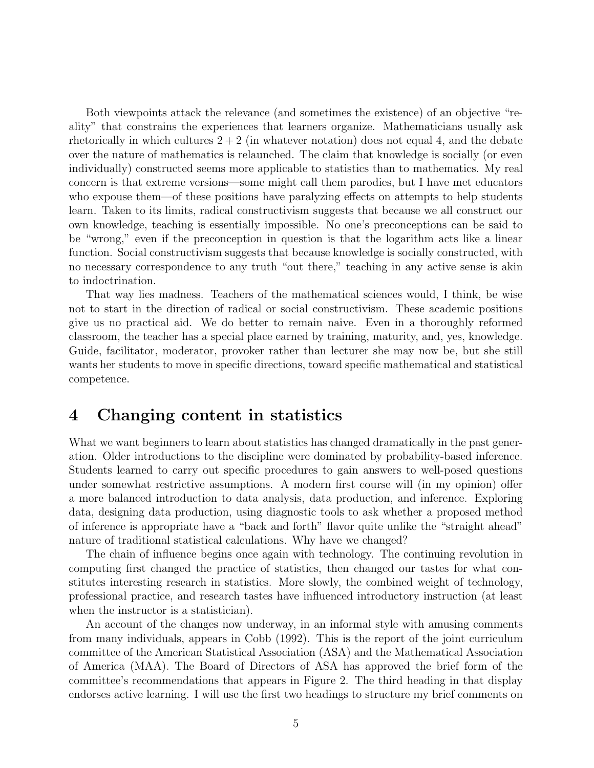Both viewpoints attack the relevance (and sometimes the existence) of an objective "reality" that constrains the experiences that learners organize. Mathematicians usually ask rhetorically in which cultures  $2 + 2$  (in whatever notation) does not equal 4, and the debate over the nature of mathematics is relaunched. The claim that knowledge is socially (or even individually) constructed seems more applicable to statistics than to mathematics. My real concern is that extreme versions—some might call them parodies, but I have met educators who expouse them—of these positions have paralyzing effects on attempts to help students learn. Taken to its limits, radical constructivism suggests that because we all construct our own knowledge, teaching is essentially impossible. No one's preconceptions can be said to be "wrong," even if the preconception in question is that the logarithm acts like a linear function. Social constructivism suggests that because knowledge is socially constructed, with no necessary correspondence to any truth "out there," teaching in any active sense is akin to indoctrination.

That way lies madness. Teachers of the mathematical sciences would, I think, be wise not to start in the direction of radical or social constructivism. These academic positions give us no practical aid. We do better to remain naive. Even in a thoroughly reformed classroom, the teacher has a special place earned by training, maturity, and, yes, knowledge. Guide, facilitator, moderator, provoker rather than lecturer she may now be, but she still wants her students to move in specific directions, toward specific mathematical and statistical competence.

# **4 Changing content in statistics**

What we want beginners to learn about statistics has changed dramatically in the past generation. Older introductions to the discipline were dominated by probability-based inference. Students learned to carry out specific procedures to gain answers to well-posed questions under somewhat restrictive assumptions. A modern first course will (in my opinion) offer a more balanced introduction to data analysis, data production, and inference. Exploring data, designing data production, using diagnostic tools to ask whether a proposed method of inference is appropriate have a "back and forth" flavor quite unlike the "straight ahead" nature of traditional statistical calculations. Why have we changed?

The chain of influence begins once again with technology. The continuing revolution in computing first changed the practice of statistics, then changed our tastes for what constitutes interesting research in statistics. More slowly, the combined weight of technology, professional practice, and research tastes have influenced introductory instruction (at least when the instructor is a statistician).

An account of the changes now underway, in an informal style with amusing comments from many individuals, appears in Cobb (1992). This is the report of the joint curriculum committee of the American Statistical Association (ASA) and the Mathematical Association of America (MAA). The Board of Directors of ASA has approved the brief form of the committee's recommendations that appears in Figure 2. The third heading in that display endorses active learning. I will use the first two headings to structure my brief comments on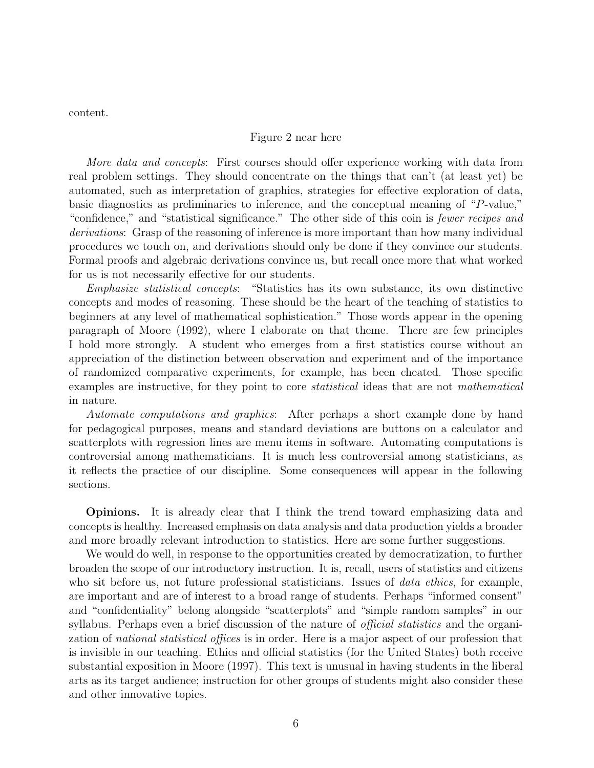content.

#### Figure 2 near here

More data and concepts: First courses should offer experience working with data from real problem settings. They should concentrate on the things that can't (at least yet) be automated, such as interpretation of graphics, strategies for effective exploration of data, basic diagnostics as preliminaries to inference, and the conceptual meaning of "P-value," "confidence," and "statistical significance." The other side of this coin is fewer recipes and derivations: Grasp of the reasoning of inference is more important than how many individual procedures we touch on, and derivations should only be done if they convince our students. Formal proofs and algebraic derivations convince us, but recall once more that what worked for us is not necessarily effective for our students.

Emphasize statistical concepts: "Statistics has its own substance, its own distinctive concepts and modes of reasoning. These should be the heart of the teaching of statistics to beginners at any level of mathematical sophistication." Those words appear in the opening paragraph of Moore (1992), where I elaborate on that theme. There are few principles I hold more strongly. A student who emerges from a first statistics course without an appreciation of the distinction between observation and experiment and of the importance of randomized comparative experiments, for example, has been cheated. Those specific examples are instructive, for they point to core *statistical* ideas that are not *mathematical* in nature.

Automate computations and graphics: After perhaps a short example done by hand for pedagogical purposes, means and standard deviations are buttons on a calculator and scatterplots with regression lines are menu items in software. Automating computations is controversial among mathematicians. It is much less controversial among statisticians, as it reflects the practice of our discipline. Some consequences will appear in the following sections.

**Opinions.** It is already clear that I think the trend toward emphasizing data and concepts is healthy. Increased emphasis on data analysis and data production yields a broader and more broadly relevant introduction to statistics. Here are some further suggestions.

We would do well, in response to the opportunities created by democratization, to further broaden the scope of our introductory instruction. It is, recall, users of statistics and citizens who sit before us, not future professional statisticians. Issues of *data ethics*, for example, are important and are of interest to a broad range of students. Perhaps "informed consent" and "confidentiality" belong alongside "scatterplots" and "simple random samples" in our syllabus. Perhaps even a brief discussion of the nature of *official statistics* and the organization of *national statistical offices* is in order. Here is a major aspect of our profession that is invisible in our teaching. Ethics and official statistics (for the United States) both receive substantial exposition in Moore (1997). This text is unusual in having students in the liberal arts as its target audience; instruction for other groups of students might also consider these and other innovative topics.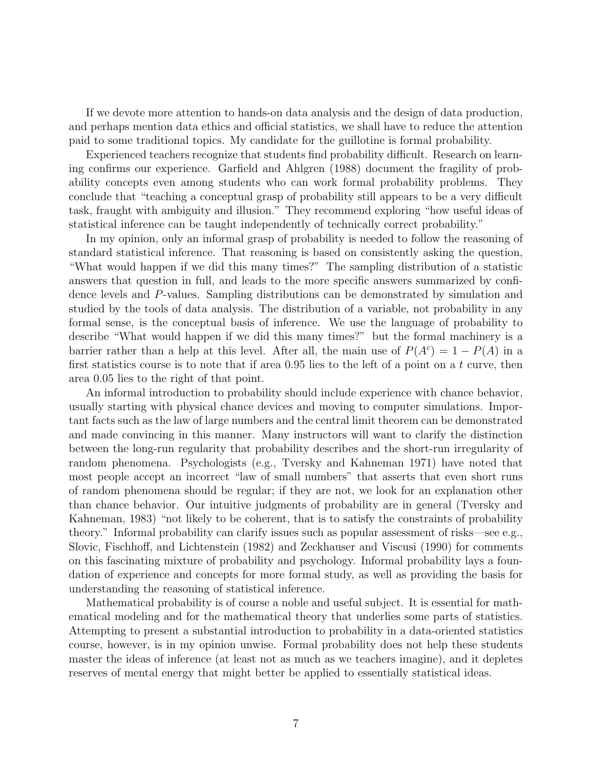If we devote more attention to hands-on data analysis and the design of data production, and perhaps mention data ethics and official statistics, we shall have to reduce the attention paid to some traditional topics. My candidate for the guillotine is formal probability.

Experienced teachers recognize that students find probability difficult. Research on learning confirms our experience. Garfield and Ahlgren (1988) document the fragility of probability concepts even among students who can work formal probability problems. They conclude that "teaching a conceptual grasp of probability still appears to be a very difficult task, fraught with ambiguity and illusion." They recommend exploring "how useful ideas of statistical inference can be taught independently of technically correct probability."

In my opinion, only an informal grasp of probability is needed to follow the reasoning of standard statistical inference. That reasoning is based on consistently asking the question, "What would happen if we did this many times?" The sampling distribution of a statistic answers that question in full, and leads to the more specific answers summarized by confidence levels and P-values. Sampling distributions can be demonstrated by simulation and studied by the tools of data analysis. The distribution of a variable, not probability in any formal sense, is the conceptual basis of inference. We use the language of probability to describe "What would happen if we did this many times?" but the formal machinery is a barrier rather than a help at this level. After all, the main use of  $P(A<sup>c</sup>) = 1 - P(A)$  in a first statistics course is to note that if area  $0.95$  lies to the left of a point on a t curve, then area 0.05 lies to the right of that point.

An informal introduction to probability should include experience with chance behavior, usually starting with physical chance devices and moving to computer simulations. Important facts such as the law of large numbers and the central limit theorem can be demonstrated and made convincing in this manner. Many instructors will want to clarify the distinction between the long-run regularity that probability describes and the short-run irregularity of random phenomena. Psychologists (e.g., Tversky and Kahneman 1971) have noted that most people accept an incorrect "law of small numbers" that asserts that even short runs of random phenomena should be regular; if they are not, we look for an explanation other than chance behavior. Our intuitive judgments of probability are in general (Tversky and Kahneman, 1983) "not likely to be coherent, that is to satisfy the constraints of probability theory." Informal probability can clarify issues such as popular assessment of risks—see e.g., Slovic, Fischhoff, and Lichtenstein (1982) and Zeckhauser and Viscusi (1990) for comments on this fascinating mixture of probability and psychology. Informal probability lays a foundation of experience and concepts for more formal study, as well as providing the basis for understanding the reasoning of statistical inference.

Mathematical probability is of course a noble and useful subject. It is essential for mathematical modeling and for the mathematical theory that underlies some parts of statistics. Attempting to present a substantial introduction to probability in a data-oriented statistics course, however, is in my opinion unwise. Formal probability does not help these students master the ideas of inference (at least not as much as we teachers imagine), and it depletes reserves of mental energy that might better be applied to essentially statistical ideas.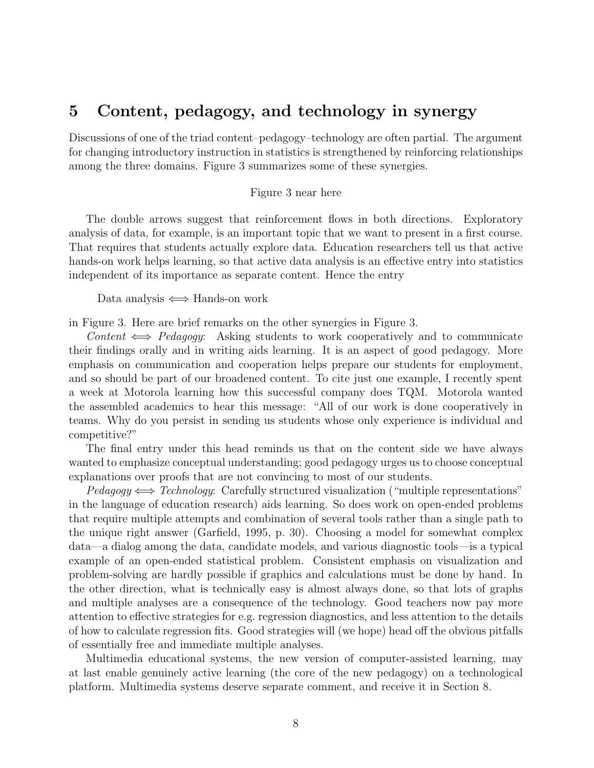# **5 Content, pedagogy, and technology in synergy**

Discussions of one of the triad content–pedagogy–technology are often partial. The argument for changing introductory instruction in statistics is strengthened by reinforcing relationships among the three domains. Figure 3 summarizes some of these synergies.

#### Figure 3 near here

The double arrows suggest that reinforcement flows in both directions. Exploratory analysis of data, for example, is an important topic that we want to present in a first course. That requires that students actually explore data. Education researchers tell us that active hands-on work helps learning, so that active data analysis is an effective entry into statistics independent of its importance as separate content. Hence the entry

Data analysis  $\iff$  Hands-on work

in Figure 3. Here are brief remarks on the other synergies in Figure 3.

Content  $\iff$  Pedagogy: Asking students to work cooperatively and to communicate their findings orally and in writing aids learning. It is an aspect of good pedagogy. More emphasis on communication and cooperation helps prepare our students for employment, and so should be part of our broadened content. To cite just one example, I recently spent a week at Motorola learning how this successful company does TQM. Motorola wanted the assembled academics to hear this message: "All of our work is done cooperatively in teams. Why do you persist in sending us students whose only experience is individual and competitive?"

The final entry under this head reminds us that on the content side we have always wanted to emphasize conceptual understanding; good pedagogy urges us to choose conceptual explanations over proofs that are not convincing to most of our students.

 $Pedagogy \Longleftrightarrow Technology:$  Carefully structured visualization ("multiple representations" in the language of education research) aids learning. So does work on open-ended problems that require multiple attempts and combination of several tools rather than a single path to the unique right answer (Garfield, 1995, p. 30). Choosing a model for somewhat complex data—a dialog among the data, candidate models, and various diagnostic tools—is a typical example of an open-ended statistical problem. Consistent emphasis on visualization and problem-solving are hardly possible if graphics and calculations must be done by hand. In the other direction, what is technically easy is almost always done, so that lots of graphs and multiple analyses are a consequence of the technology. Good teachers now pay more attention to effective strategies for e.g. regression diagnostics, and less attention to the details of how to calculate regression fits. Good strategies will (we hope) head off the obvious pitfalls of essentially free and immediate multiple analyses.

Multimedia educational systems, the new version of computer-assisted learning, may at last enable genuinely active learning (the core of the new pedagogy) on a technological platform. Multimedia systems deserve separate comment, and receive it in Section 8.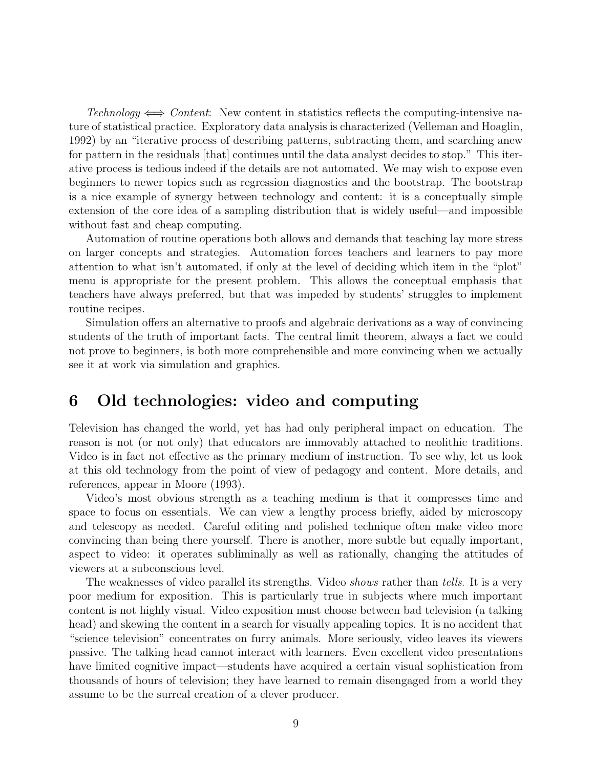Technology  $\iff Content:$  New content in statistics reflects the computing-intensive nature of statistical practice. Exploratory data analysis is characterized (Velleman and Hoaglin, 1992) by an "iterative process of describing patterns, subtracting them, and searching anew for pattern in the residuals [that] continues until the data analyst decides to stop." This iterative process is tedious indeed if the details are not automated. We may wish to expose even beginners to newer topics such as regression diagnostics and the bootstrap. The bootstrap is a nice example of synergy between technology and content: it is a conceptually simple extension of the core idea of a sampling distribution that is widely useful—and impossible without fast and cheap computing.

Automation of routine operations both allows and demands that teaching lay more stress on larger concepts and strategies. Automation forces teachers and learners to pay more attention to what isn't automated, if only at the level of deciding which item in the "plot" menu is appropriate for the present problem. This allows the conceptual emphasis that teachers have always preferred, but that was impeded by students' struggles to implement routine recipes.

Simulation offers an alternative to proofs and algebraic derivations as a way of convincing students of the truth of important facts. The central limit theorem, always a fact we could not prove to beginners, is both more comprehensible and more convincing when we actually see it at work via simulation and graphics.

# **6 Old technologies: video and computing**

Television has changed the world, yet has had only peripheral impact on education. The reason is not (or not only) that educators are immovably attached to neolithic traditions. Video is in fact not effective as the primary medium of instruction. To see why, let us look at this old technology from the point of view of pedagogy and content. More details, and references, appear in Moore (1993).

Video's most obvious strength as a teaching medium is that it compresses time and space to focus on essentials. We can view a lengthy process briefly, aided by microscopy and telescopy as needed. Careful editing and polished technique often make video more convincing than being there yourself. There is another, more subtle but equally important, aspect to video: it operates subliminally as well as rationally, changing the attitudes of viewers at a subconscious level.

The weaknesses of video parallel its strengths. Video *shows* rather than *tells*. It is a very poor medium for exposition. This is particularly true in subjects where much important content is not highly visual. Video exposition must choose between bad television (a talking head) and skewing the content in a search for visually appealing topics. It is no accident that "science television" concentrates on furry animals. More seriously, video leaves its viewers passive. The talking head cannot interact with learners. Even excellent video presentations have limited cognitive impact—students have acquired a certain visual sophistication from thousands of hours of television; they have learned to remain disengaged from a world they assume to be the surreal creation of a clever producer.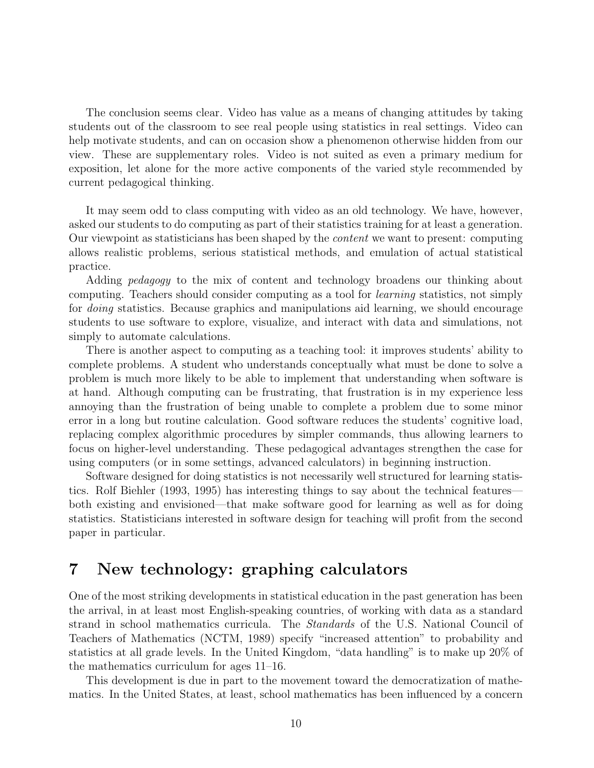The conclusion seems clear. Video has value as a means of changing attitudes by taking students out of the classroom to see real people using statistics in real settings. Video can help motivate students, and can on occasion show a phenomenon otherwise hidden from our view. These are supplementary roles. Video is not suited as even a primary medium for exposition, let alone for the more active components of the varied style recommended by current pedagogical thinking.

It may seem odd to class computing with video as an old technology. We have, however, asked our students to do computing as part of their statistics training for at least a generation. Our viewpoint as statisticians has been shaped by the content we want to present: computing allows realistic problems, serious statistical methods, and emulation of actual statistical practice.

Adding *pedagogy* to the mix of content and technology broadens our thinking about computing. Teachers should consider computing as a tool for learning statistics, not simply for *doing* statistics. Because graphics and manipulations aid learning, we should encourage students to use software to explore, visualize, and interact with data and simulations, not simply to automate calculations.

There is another aspect to computing as a teaching tool: it improves students' ability to complete problems. A student who understands conceptually what must be done to solve a problem is much more likely to be able to implement that understanding when software is at hand. Although computing can be frustrating, that frustration is in my experience less annoying than the frustration of being unable to complete a problem due to some minor error in a long but routine calculation. Good software reduces the students' cognitive load, replacing complex algorithmic procedures by simpler commands, thus allowing learners to focus on higher-level understanding. These pedagogical advantages strengthen the case for using computers (or in some settings, advanced calculators) in beginning instruction.

Software designed for doing statistics is not necessarily well structured for learning statistics. Rolf Biehler (1993, 1995) has interesting things to say about the technical features both existing and envisioned—that make software good for learning as well as for doing statistics. Statisticians interested in software design for teaching will profit from the second paper in particular.

# **7 New technology: graphing calculators**

One of the most striking developments in statistical education in the past generation has been the arrival, in at least most English-speaking countries, of working with data as a standard strand in school mathematics curricula. The Standards of the U.S. National Council of Teachers of Mathematics (NCTM, 1989) specify "increased attention" to probability and statistics at all grade levels. In the United Kingdom, "data handling" is to make up 20% of the mathematics curriculum for ages 11–16.

This development is due in part to the movement toward the democratization of mathematics. In the United States, at least, school mathematics has been influenced by a concern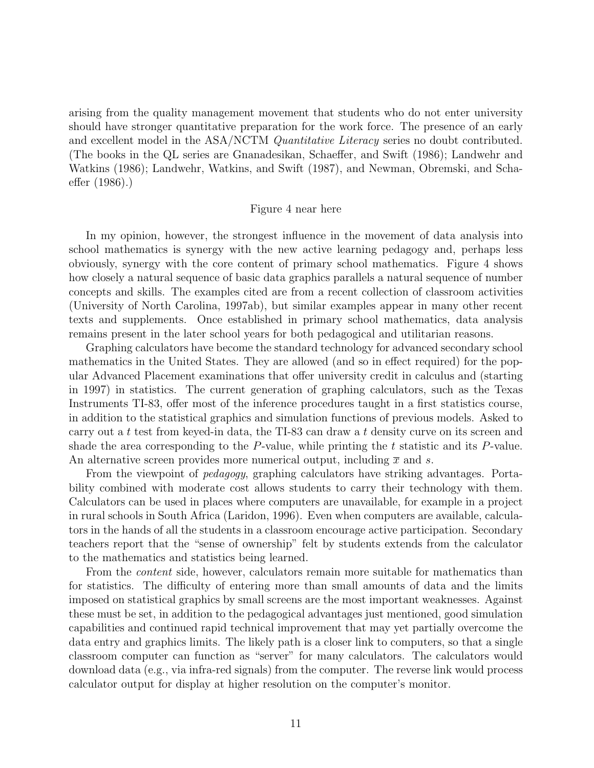arising from the quality management movement that students who do not enter university should have stronger quantitative preparation for the work force. The presence of an early and excellent model in the ASA/NCTM *Quantitative Literacy* series no doubt contributed. (The books in the QL series are Gnanadesikan, Schaeffer, and Swift (1986); Landwehr and Watkins (1986); Landwehr, Watkins, and Swift (1987), and Newman, Obremski, and Schaeffer (1986).)

#### Figure 4 near here

In my opinion, however, the strongest influence in the movement of data analysis into school mathematics is synergy with the new active learning pedagogy and, perhaps less obviously, synergy with the core content of primary school mathematics. Figure 4 shows how closely a natural sequence of basic data graphics parallels a natural sequence of number concepts and skills. The examples cited are from a recent collection of classroom activities (University of North Carolina, 1997ab), but similar examples appear in many other recent texts and supplements. Once established in primary school mathematics, data analysis remains present in the later school years for both pedagogical and utilitarian reasons.

Graphing calculators have become the standard technology for advanced secondary school mathematics in the United States. They are allowed (and so in effect required) for the popular Advanced Placement examinations that offer university credit in calculus and (starting in 1997) in statistics. The current generation of graphing calculators, such as the Texas Instruments TI-83, offer most of the inference procedures taught in a first statistics course, in addition to the statistical graphics and simulation functions of previous models. Asked to carry out a t test from keyed-in data, the TI-83 can draw a t density curve on its screen and shade the area corresponding to the  $P$ -value, while printing the t statistic and its  $P$ -value. An alternative screen provides more numerical output, including  $\bar{x}$  and s.

From the viewpoint of pedagogy, graphing calculators have striking advantages. Portability combined with moderate cost allows students to carry their technology with them. Calculators can be used in places where computers are unavailable, for example in a project in rural schools in South Africa (Laridon, 1996). Even when computers are available, calculators in the hands of all the students in a classroom encourage active participation. Secondary teachers report that the "sense of ownership" felt by students extends from the calculator to the mathematics and statistics being learned.

From the *content* side, however, calculators remain more suitable for mathematics than for statistics. The difficulty of entering more than small amounts of data and the limits imposed on statistical graphics by small screens are the most important weaknesses. Against these must be set, in addition to the pedagogical advantages just mentioned, good simulation capabilities and continued rapid technical improvement that may yet partially overcome the data entry and graphics limits. The likely path is a closer link to computers, so that a single classroom computer can function as "server" for many calculators. The calculators would download data (e.g., via infra-red signals) from the computer. The reverse link would process calculator output for display at higher resolution on the computer's monitor.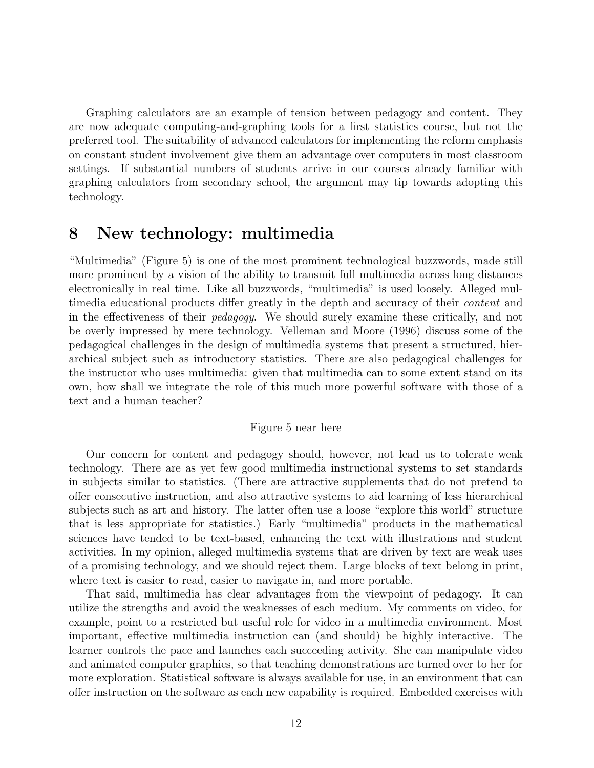Graphing calculators are an example of tension between pedagogy and content. They are now adequate computing-and-graphing tools for a first statistics course, but not the preferred tool. The suitability of advanced calculators for implementing the reform emphasis on constant student involvement give them an advantage over computers in most classroom settings. If substantial numbers of students arrive in our courses already familiar with graphing calculators from secondary school, the argument may tip towards adopting this technology.

## **8 New technology: multimedia**

"Multimedia" (Figure 5) is one of the most prominent technological buzzwords, made still more prominent by a vision of the ability to transmit full multimedia across long distances electronically in real time. Like all buzzwords, "multimedia" is used loosely. Alleged multimedia educational products differ greatly in the depth and accuracy of their content and in the effectiveness of their pedagogy. We should surely examine these critically, and not be overly impressed by mere technology. Velleman and Moore (1996) discuss some of the pedagogical challenges in the design of multimedia systems that present a structured, hierarchical subject such as introductory statistics. There are also pedagogical challenges for the instructor who uses multimedia: given that multimedia can to some extent stand on its own, how shall we integrate the role of this much more powerful software with those of a text and a human teacher?

#### Figure 5 near here

Our concern for content and pedagogy should, however, not lead us to tolerate weak technology. There are as yet few good multimedia instructional systems to set standards in subjects similar to statistics. (There are attractive supplements that do not pretend to offer consecutive instruction, and also attractive systems to aid learning of less hierarchical subjects such as art and history. The latter often use a loose "explore this world" structure that is less appropriate for statistics.) Early "multimedia" products in the mathematical sciences have tended to be text-based, enhancing the text with illustrations and student activities. In my opinion, alleged multimedia systems that are driven by text are weak uses of a promising technology, and we should reject them. Large blocks of text belong in print, where text is easier to read, easier to navigate in, and more portable.

That said, multimedia has clear advantages from the viewpoint of pedagogy. It can utilize the strengths and avoid the weaknesses of each medium. My comments on video, for example, point to a restricted but useful role for video in a multimedia environment. Most important, effective multimedia instruction can (and should) be highly interactive. The learner controls the pace and launches each succeeding activity. She can manipulate video and animated computer graphics, so that teaching demonstrations are turned over to her for more exploration. Statistical software is always available for use, in an environment that can offer instruction on the software as each new capability is required. Embedded exercises with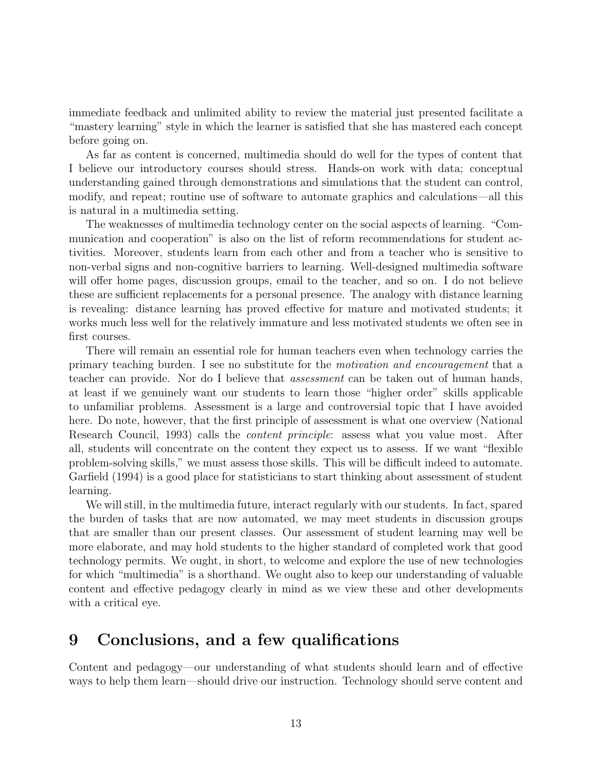immediate feedback and unlimited ability to review the material just presented facilitate a "mastery learning" style in which the learner is satisfied that she has mastered each concept before going on.

As far as content is concerned, multimedia should do well for the types of content that I believe our introductory courses should stress. Hands-on work with data; conceptual understanding gained through demonstrations and simulations that the student can control, modify, and repeat; routine use of software to automate graphics and calculations—all this is natural in a multimedia setting.

The weaknesses of multimedia technology center on the social aspects of learning. "Communication and cooperation" is also on the list of reform recommendations for student activities. Moreover, students learn from each other and from a teacher who is sensitive to non-verbal signs and non-cognitive barriers to learning. Well-designed multimedia software will offer home pages, discussion groups, email to the teacher, and so on. I do not believe these are sufficient replacements for a personal presence. The analogy with distance learning is revealing: distance learning has proved effective for mature and motivated students; it works much less well for the relatively immature and less motivated students we often see in first courses.

There will remain an essential role for human teachers even when technology carries the primary teaching burden. I see no substitute for the *motivation and encouragement* that a teacher can provide. Nor do I believe that *assessment* can be taken out of human hands, at least if we genuinely want our students to learn those "higher order" skills applicable to unfamiliar problems. Assessment is a large and controversial topic that I have avoided here. Do note, however, that the first principle of assessment is what one overview (National Research Council, 1993) calls the *content principle*: assess what you value most. After all, students will concentrate on the content they expect us to assess. If we want "flexible problem-solving skills," we must assess those skills. This will be difficult indeed to automate. Garfield (1994) is a good place for statisticians to start thinking about assessment of student learning.

We will still, in the multimedia future, interact regularly with our students. In fact, spared the burden of tasks that are now automated, we may meet students in discussion groups that are smaller than our present classes. Our assessment of student learning may well be more elaborate, and may hold students to the higher standard of completed work that good technology permits. We ought, in short, to welcome and explore the use of new technologies for which "multimedia" is a shorthand. We ought also to keep our understanding of valuable content and effective pedagogy clearly in mind as we view these and other developments with a critical eye.

# **9 Conclusions, and a few qualifications**

Content and pedagogy—our understanding of what students should learn and of effective ways to help them learn—should drive our instruction. Technology should serve content and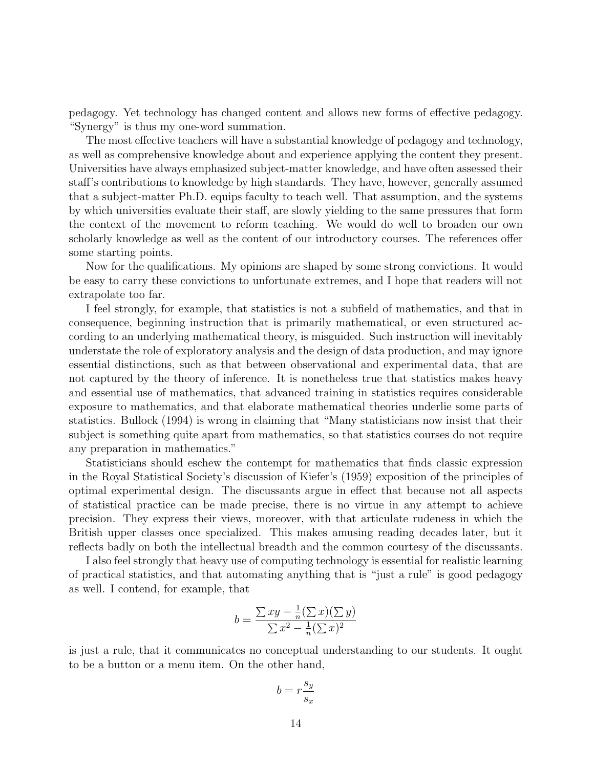pedagogy. Yet technology has changed content and allows new forms of effective pedagogy. "Synergy" is thus my one-word summation.

The most effective teachers will have a substantial knowledge of pedagogy and technology, as well as comprehensive knowledge about and experience applying the content they present. Universities have always emphasized subject-matter knowledge, and have often assessed their staff's contributions to knowledge by high standards. They have, however, generally assumed that a subject-matter Ph.D. equips faculty to teach well. That assumption, and the systems by which universities evaluate their staff, are slowly yielding to the same pressures that form the context of the movement to reform teaching. We would do well to broaden our own scholarly knowledge as well as the content of our introductory courses. The references offer some starting points.

Now for the qualifications. My opinions are shaped by some strong convictions. It would be easy to carry these convictions to unfortunate extremes, and I hope that readers will not extrapolate too far.

I feel strongly, for example, that statistics is not a subfield of mathematics, and that in consequence, beginning instruction that is primarily mathematical, or even structured according to an underlying mathematical theory, is misguided. Such instruction will inevitably understate the role of exploratory analysis and the design of data production, and may ignore essential distinctions, such as that between observational and experimental data, that are not captured by the theory of inference. It is nonetheless true that statistics makes heavy and essential use of mathematics, that advanced training in statistics requires considerable exposure to mathematics, and that elaborate mathematical theories underlie some parts of statistics. Bullock (1994) is wrong in claiming that "Many statisticians now insist that their subject is something quite apart from mathematics, so that statistics courses do not require any preparation in mathematics."

Statisticians should eschew the contempt for mathematics that finds classic expression in the Royal Statistical Society's discussion of Kiefer's (1959) exposition of the principles of optimal experimental design. The discussants argue in effect that because not all aspects of statistical practice can be made precise, there is no virtue in any attempt to achieve precision. They express their views, moreover, with that articulate rudeness in which the British upper classes once specialized. This makes amusing reading decades later, but it reflects badly on both the intellectual breadth and the common courtesy of the discussants.

I also feel strongly that heavy use of computing technology is essential for realistic learning of practical statistics, and that automating anything that is "just a rule" is good pedagogy as well. I contend, for example, that

$$
b = \frac{\sum xy - \frac{1}{n}(\sum x)(\sum y)}{\sum x^2 - \frac{1}{n}(\sum x)^2}
$$

is just a rule, that it communicates no conceptual understanding to our students. It ought to be a button or a menu item. On the other hand,

$$
b=r\frac{s_y}{s_x}
$$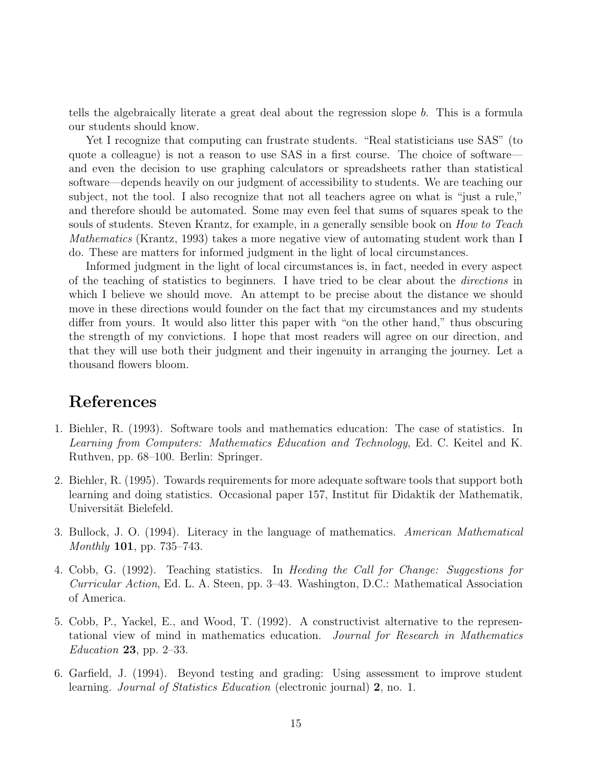tells the algebraically literate a great deal about the regression slope b. This is a formula our students should know.

Yet I recognize that computing can frustrate students. "Real statisticians use SAS" (to quote a colleague) is not a reason to use SAS in a first course. The choice of software and even the decision to use graphing calculators or spreadsheets rather than statistical software—depends heavily on our judgment of accessibility to students. We are teaching our subject, not the tool. I also recognize that not all teachers agree on what is "just a rule," and therefore should be automated. Some may even feel that sums of squares speak to the souls of students. Steven Krantz, for example, in a generally sensible book on *How to Teach* Mathematics (Krantz, 1993) takes a more negative view of automating student work than I do. These are matters for informed judgment in the light of local circumstances.

Informed judgment in the light of local circumstances is, in fact, needed in every aspect of the teaching of statistics to beginners. I have tried to be clear about the *directions* in which I believe we should move. An attempt to be precise about the distance we should move in these directions would founder on the fact that my circumstances and my students differ from yours. It would also litter this paper with "on the other hand," thus obscuring the strength of my convictions. I hope that most readers will agree on our direction, and that they will use both their judgment and their ingenuity in arranging the journey. Let a thousand flowers bloom.

## **References**

- 1. Biehler, R. (1993). Software tools and mathematics education: The case of statistics. In Learning from Computers: Mathematics Education and Technology, Ed. C. Keitel and K. Ruthven, pp. 68–100. Berlin: Springer.
- 2. Biehler, R. (1995). Towards requirements for more adequate software tools that support both learning and doing statistics. Occasional paper 157, Institut für Didaktik der Mathematik, Universität Bielefeld.
- 3. Bullock, J. O. (1994). Literacy in the language of mathematics. American Mathematical Monthly **101**, pp. 735–743.
- 4. Cobb, G. (1992). Teaching statistics. In Heeding the Call for Change: Suggestions for Curricular Action, Ed. L. A. Steen, pp. 3–43. Washington, D.C.: Mathematical Association of America.
- 5. Cobb, P., Yackel, E., and Wood, T. (1992). A constructivist alternative to the representational view of mind in mathematics education. Journal for Research in Mathematics Education **23**, pp. 2–33.
- 6. Garfield, J. (1994). Beyond testing and grading: Using assessment to improve student learning. Journal of Statistics Education (electronic journal) **2**, no. 1.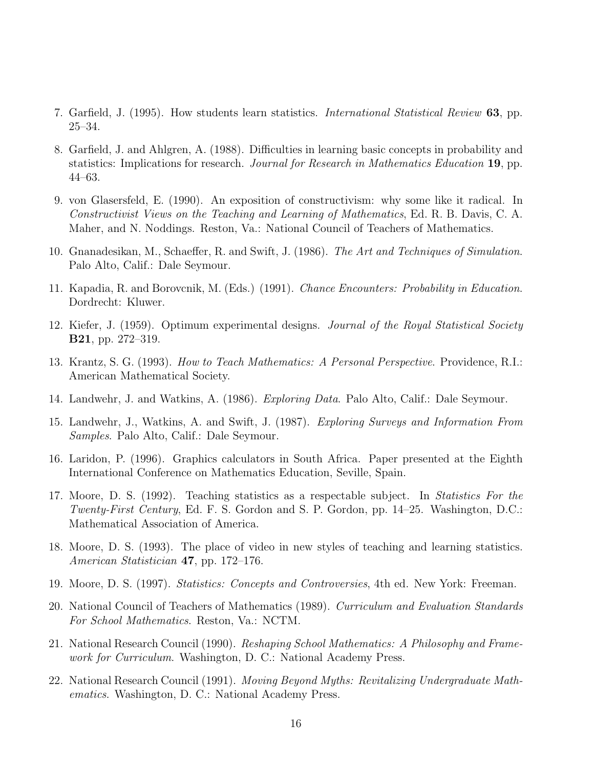- 7. Garfield, J. (1995). How students learn statistics. International Statistical Review **63**, pp. 25–34.
- 8. Garfield, J. and Ahlgren, A. (1988). Difficulties in learning basic concepts in probability and statistics: Implications for research. Journal for Research in Mathematics Education **19**, pp. 44–63.
- 9. von Glasersfeld, E. (1990). An exposition of constructivism: why some like it radical. In Constructivist Views on the Teaching and Learning of Mathematics, Ed. R. B. Davis, C. A. Maher, and N. Noddings. Reston, Va.: National Council of Teachers of Mathematics.
- 10. Gnanadesikan, M., Schaeffer, R. and Swift, J. (1986). The Art and Techniques of Simulation. Palo Alto, Calif.: Dale Seymour.
- 11. Kapadia, R. and Borovcnik, M. (Eds.) (1991). Chance Encounters: Probability in Education. Dordrecht: Kluwer.
- 12. Kiefer, J. (1959). Optimum experimental designs. Journal of the Royal Statistical Society **B21**, pp. 272–319.
- 13. Krantz, S. G. (1993). How to Teach Mathematics: A Personal Perspective. Providence, R.I.: American Mathematical Society.
- 14. Landwehr, J. and Watkins, A. (1986). Exploring Data. Palo Alto, Calif.: Dale Seymour.
- 15. Landwehr, J., Watkins, A. and Swift, J. (1987). Exploring Surveys and Information From Samples. Palo Alto, Calif.: Dale Seymour.
- 16. Laridon, P. (1996). Graphics calculators in South Africa. Paper presented at the Eighth International Conference on Mathematics Education, Seville, Spain.
- 17. Moore, D. S. (1992). Teaching statistics as a respectable subject. In Statistics For the Twenty-First Century, Ed. F. S. Gordon and S. P. Gordon, pp. 14–25. Washington, D.C.: Mathematical Association of America.
- 18. Moore, D. S. (1993). The place of video in new styles of teaching and learning statistics. American Statistician **47**, pp. 172–176.
- 19. Moore, D. S. (1997). Statistics: Concepts and Controversies, 4th ed. New York: Freeman.
- 20. National Council of Teachers of Mathematics (1989). Curriculum and Evaluation Standards For School Mathematics. Reston, Va.: NCTM.
- 21. National Research Council (1990). Reshaping School Mathematics: A Philosophy and Framework for Curriculum. Washington, D. C.: National Academy Press.
- 22. National Research Council (1991). Moving Beyond Myths: Revitalizing Undergraduate Mathematics. Washington, D. C.: National Academy Press.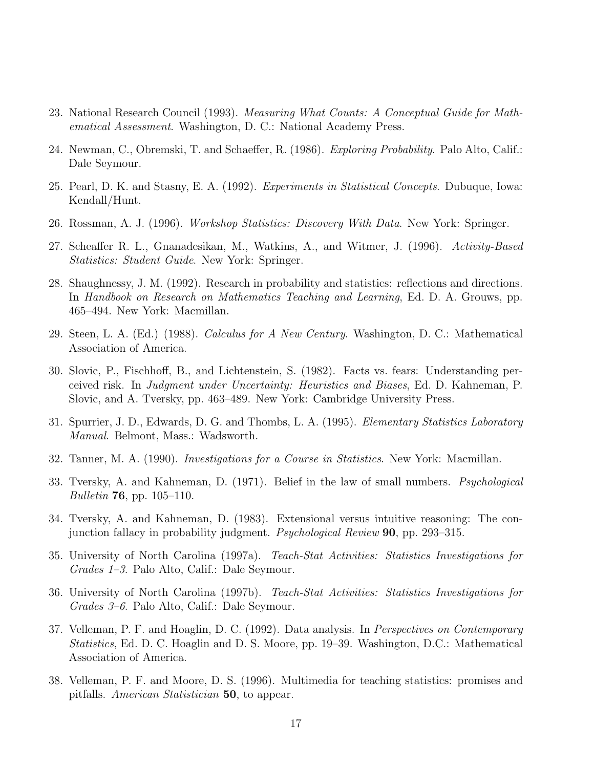- 23. National Research Council (1993). Measuring What Counts: A Conceptual Guide for Mathematical Assessment. Washington, D. C.: National Academy Press.
- 24. Newman, C., Obremski, T. and Schaeffer, R. (1986). Exploring Probability. Palo Alto, Calif.: Dale Seymour.
- 25. Pearl, D. K. and Stasny, E. A. (1992). Experiments in Statistical Concepts. Dubuque, Iowa: Kendall/Hunt.
- 26. Rossman, A. J. (1996). Workshop Statistics: Discovery With Data. New York: Springer.
- 27. Scheaffer R. L., Gnanadesikan, M., Watkins, A., and Witmer, J. (1996). Activity-Based Statistics: Student Guide. New York: Springer.
- 28. Shaughnessy, J. M. (1992). Research in probability and statistics: reflections and directions. In Handbook on Research on Mathematics Teaching and Learning, Ed. D. A. Grouws, pp. 465–494. New York: Macmillan.
- 29. Steen, L. A. (Ed.) (1988). Calculus for A New Century. Washington, D. C.: Mathematical Association of America.
- 30. Slovic, P., Fischhoff, B., and Lichtenstein, S. (1982). Facts vs. fears: Understanding perceived risk. In Judgment under Uncertainty: Heuristics and Biases, Ed. D. Kahneman, P. Slovic, and A. Tversky, pp. 463–489. New York: Cambridge University Press.
- 31. Spurrier, J. D., Edwards, D. G. and Thombs, L. A. (1995). Elementary Statistics Laboratory Manual. Belmont, Mass.: Wadsworth.
- 32. Tanner, M. A. (1990). Investigations for a Course in Statistics. New York: Macmillan.
- 33. Tversky, A. and Kahneman, D. (1971). Belief in the law of small numbers. Psychological Bulletin **76**, pp. 105–110.
- 34. Tversky, A. and Kahneman, D. (1983). Extensional versus intuitive reasoning: The conjunction fallacy in probability judgment. Psychological Review **90**, pp. 293–315.
- 35. University of North Carolina (1997a). Teach-Stat Activities: Statistics Investigations for Grades 1–3. Palo Alto, Calif.: Dale Seymour.
- 36. University of North Carolina (1997b). Teach-Stat Activities: Statistics Investigations for Grades 3–6. Palo Alto, Calif.: Dale Seymour.
- 37. Velleman, P. F. and Hoaglin, D. C. (1992). Data analysis. In *Perspectives on Contemporary* Statistics, Ed. D. C. Hoaglin and D. S. Moore, pp. 19–39. Washington, D.C.: Mathematical Association of America.
- 38. Velleman, P. F. and Moore, D. S. (1996). Multimedia for teaching statistics: promises and pitfalls. American Statistician **50**, to appear.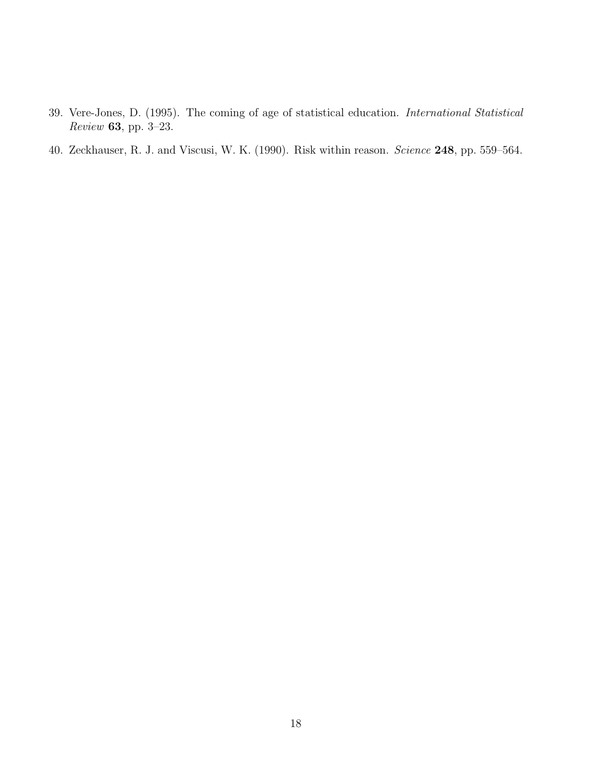- 39. Vere-Jones, D. (1995). The coming of age of statistical education. International Statistical Review **63**, pp. 3–23.
- 40. Zeckhauser, R. J. and Viscusi, W. K. (1990). Risk within reason. Science **248**, pp. 559–564.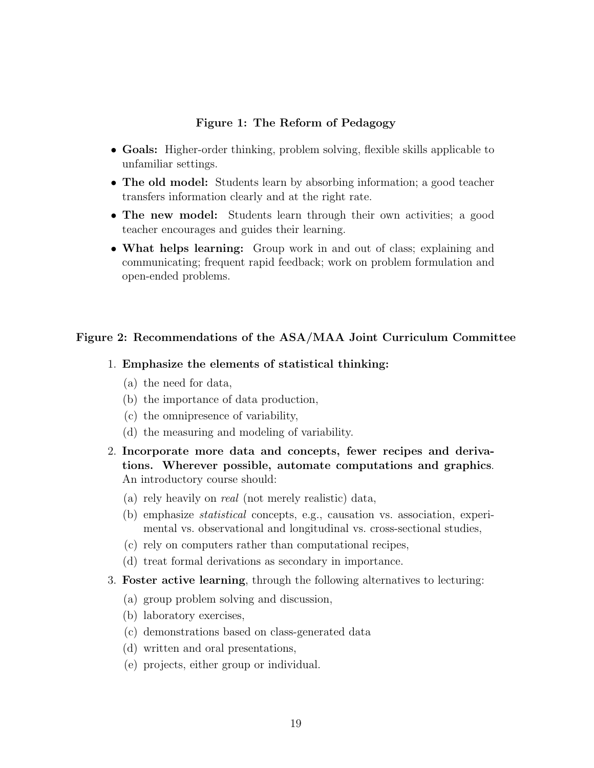### **Figure 1: The Reform of Pedagogy**

- **Goals:** Higher-order thinking, problem solving, flexible skills applicable to unfamiliar settings.
- **The old model:** Students learn by absorbing information; a good teacher transfers information clearly and at the right rate.
- **The new model:** Students learn through their own activities; a good teacher encourages and guides their learning.
- **What helps learning:** Group work in and out of class; explaining and communicating; frequent rapid feedback; work on problem formulation and open-ended problems.

### **Figure 2: Recommendations of the ASA/MAA Joint Curriculum Committee**

#### 1. **Emphasize the elements of statistical thinking:**

- (a) the need for data,
- (b) the importance of data production,
- (c) the omnipresence of variability,
- (d) the measuring and modeling of variability.
- 2. **Incorporate more data and concepts, fewer recipes and derivations. Wherever possible, automate computations and graphics**. An introductory course should:
	- (a) rely heavily on real (not merely realistic) data,
	- (b) emphasize statistical concepts, e.g., causation vs. association, experimental vs. observational and longitudinal vs. cross-sectional studies,
	- (c) rely on computers rather than computational recipes,
	- (d) treat formal derivations as secondary in importance.
- 3. **Foster active learning**, through the following alternatives to lecturing:
	- (a) group problem solving and discussion,
	- (b) laboratory exercises,
	- (c) demonstrations based on class-generated data
	- (d) written and oral presentations,
	- (e) projects, either group or individual.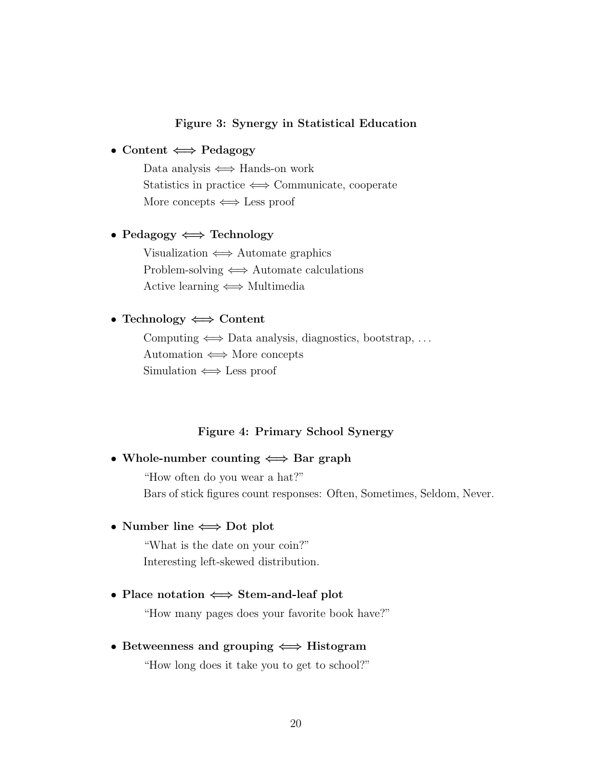### **Figure 3: Synergy in Statistical Education**

### • **Content** *⇐⇒* **Pedagogy**

Data analysis  $\iff$  Hands-on work Statistics in practice  $\Longleftrightarrow$  Communicate, cooperate More concepts  $\iff$  Less proof

### • **Pedagogy** *⇐⇒* **Technology**

Visualization  $\iff$  Automate graphics Problem-solving  $\Longleftrightarrow$  Automate calculations Active learning  $\iff$  Multimedia

## • **Technology** *⇐⇒* **Content**

Computing  $\Longleftrightarrow$  Data analysis, diagnostics, bootstrap, ... Automation  $\iff$  More concepts Simulation  $\iff$  Less proof

#### **Figure 4: Primary School Synergy**

### • **Whole-number counting** *⇐⇒* **Bar graph**

"How often do you wear a hat?" Bars of stick figures count responses: Often, Sometimes, Seldom, Never.

### • **Number line** *⇐⇒* **Dot plot**

"What is the date on your coin?" Interesting left-skewed distribution.

#### • **Place notation** *⇐⇒* **Stem-and-leaf plot**

"How many pages does your favorite book have?"

#### • **Betweenness and grouping** *⇐⇒* **Histogram**

"How long does it take you to get to school?"